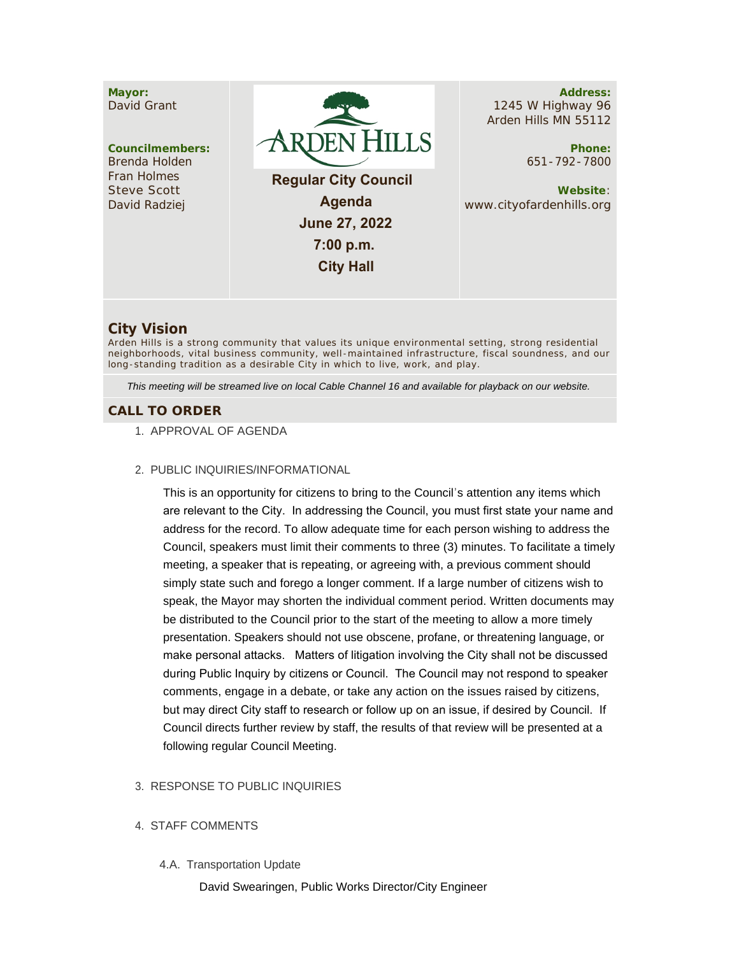

# **City Vision**

Arden Hills is a strong community that values its unique environmental setting, strong residential neighborhoods, vital business community, well -maintained infrastructure, fiscal soundness, and our long-standing tradition as a desirable City in which to live, work, and play.

*This meeting will be streamed live on local Cable Channel 16 and available for playback on our website.*

# **CALL TO ORDER**

- 1. APPROVAL OF AGENDA
- PUBLIC INQUIRIES/INFORMATIONAL 2.

This is an opportunity for citizens to bring to the Council's attention any items which are relevant to the City. In addressing the Council, you must first state your name and address for the record. To allow adequate time for each person wishing to address the Council, speakers must limit their comments to three (3) minutes. To facilitate a timely meeting, a speaker that is repeating, or agreeing with, a previous comment should simply state such and forego a longer comment. If a large number of citizens wish to speak, the Mayor may shorten the individual comment period. Written documents may be distributed to the Council prior to the start of the meeting to allow a more timely presentation. Speakers should not use obscene, profane, or threatening language, or make personal attacks. Matters of litigation involving the City shall not be discussed during Public Inquiry by citizens or Council. The Council may not respond to speaker comments, engage in a debate, or take any action on the issues raised by citizens, but may direct City staff to research or follow up on an issue, if desired by Council. If Council directs further review by staff, the results of that review will be presented at a following regular Council Meeting.

### 3. RESPONSE TO PUBLIC INQUIRIES

- 4. STAFF COMMENTS
	- 4.A. Transportation Update

David Swearingen, Public Works Director/City Engineer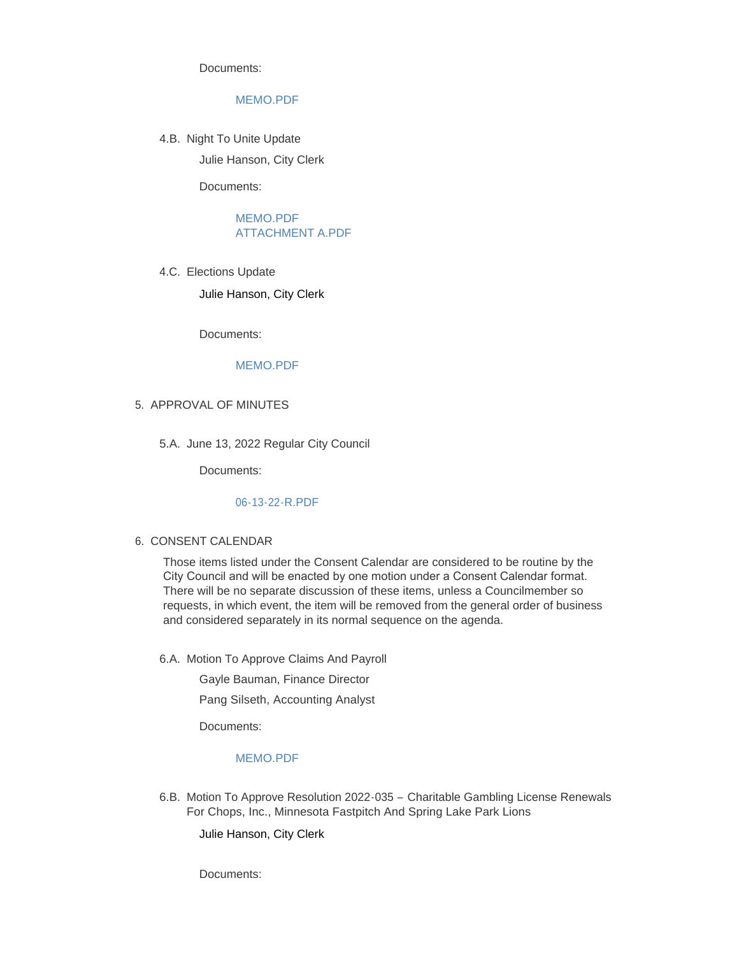Documents:

### [MEMO.PDF](https://www.cityofardenhills.org/AgendaCenter/ViewFile/Item/9034?fileID=13992)

4.B. Night To Unite Update

Julie Hanson, City Clerk

Documents:

[MEMO.PDF](https://www.cityofardenhills.org/AgendaCenter/ViewFile/Item/9035?fileID=13993) [ATTACHMENT A.PDF](https://www.cityofardenhills.org/AgendaCenter/ViewFile/Item/9035?fileID=13999)

4.C. Elections Update

Julie Hanson, City Clerk

Documents:

### [MEMO.PDF](https://www.cityofardenhills.org/AgendaCenter/ViewFile/Item/9036?fileID=13994)

- 5. APPROVAL OF MINUTES
	- 5.A. June 13, 2022 Regular City Council

Documents:

### [06-13-22-R.PDF](https://www.cityofardenhills.org/AgendaCenter/ViewFile/Item/9051?fileID=14063)

### 6. CONSENT CALENDAR

Those items listed under the Consent Calendar are considered to be routine by the City Council and will be enacted by one motion under a Consent Calendar format. There will be no separate discussion of these items, unless a Councilmember so requests, in which event, the item will be removed from the general order of business and considered separately in its normal sequence on the agenda.

6.A. Motion To Approve Claims And Payroll

Gayle Bauman, Finance Director Pang Silseth, Accounting Analyst

Documents:

# [MEMO.PDF](https://www.cityofardenhills.org/AgendaCenter/ViewFile/Item/9037?fileID=13995)

6.B. Motion To Approve Resolution 2022-035 - Charitable Gambling License Renewals For Chops, Inc., Minnesota Fastpitch And Spring Lake Park Lions

Julie Hanson, City Clerk

Documents: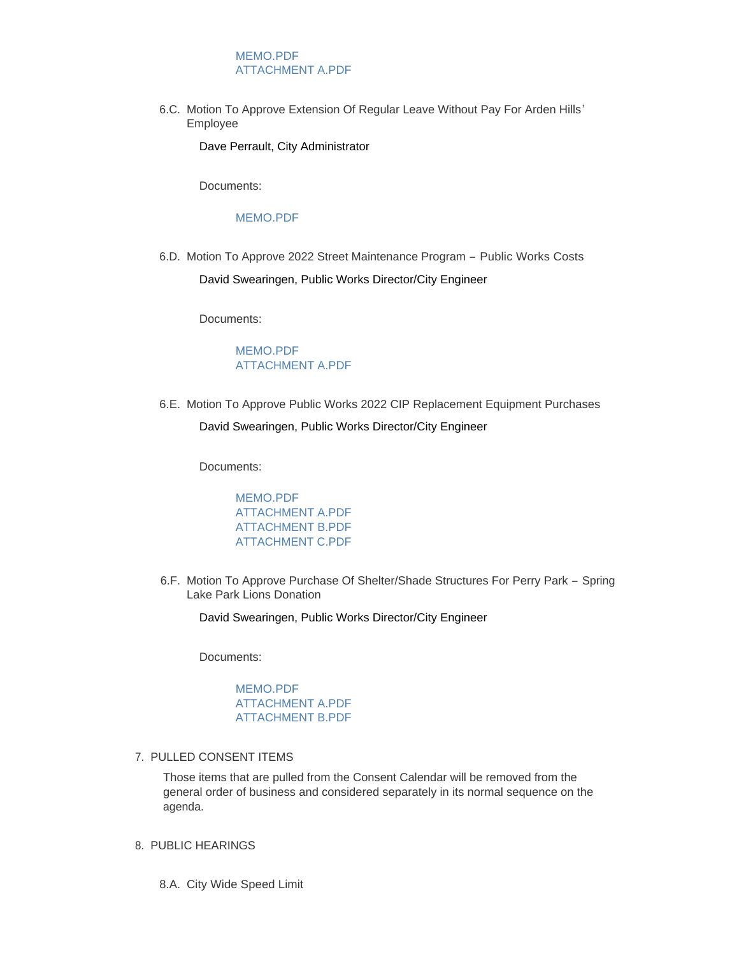# [MEMO.PDF](https://www.cityofardenhills.org/AgendaCenter/ViewFile/Item/9040?fileID=14001) [ATTACHMENT A.PDF](https://www.cityofardenhills.org/AgendaCenter/ViewFile/Item/9040?fileID=14000)

6.C. Motion To Approve Extension Of Regular Leave Without Pay For Arden Hills' Employee

Dave Perrault, City Administrator

Documents:

#### [MEMO.PDF](https://www.cityofardenhills.org/AgendaCenter/ViewFile/Item/9041?fileID=14002)

6.D. Motion To Approve 2022 Street Maintenance Program - Public Works Costs

David Swearingen, Public Works Director/City Engineer

Documents:

# [MEMO.PDF](https://www.cityofardenhills.org/AgendaCenter/ViewFile/Item/9042?fileID=14004) [ATTACHMENT A.PDF](https://www.cityofardenhills.org/AgendaCenter/ViewFile/Item/9042?fileID=14003)

6.E. Motion To Approve Public Works 2022 CIP Replacement Equipment Purchases

### David Swearingen, Public Works Director/City Engineer

Documents:

### [MEMO.PDF](https://www.cityofardenhills.org/AgendaCenter/ViewFile/Item/9043?fileID=14008) [ATTACHMENT A.PDF](https://www.cityofardenhills.org/AgendaCenter/ViewFile/Item/9043?fileID=14005) [ATTACHMENT B.PDF](https://www.cityofardenhills.org/AgendaCenter/ViewFile/Item/9043?fileID=14006) [ATTACHMENT C.PDF](https://www.cityofardenhills.org/AgendaCenter/ViewFile/Item/9043?fileID=14007)

6.F. Motion To Approve Purchase Of Shelter/Shade Structures For Perry Park - Spring Lake Park Lions Donation

David Swearingen, Public Works Director/City Engineer

Documents:

### [MEMO.PDF](https://www.cityofardenhills.org/AgendaCenter/ViewFile/Item/9047?fileID=14031) [ATTACHMENT A.PDF](https://www.cityofardenhills.org/AgendaCenter/ViewFile/Item/9047?fileID=14029) [ATTACHMENT B.PDF](https://www.cityofardenhills.org/AgendaCenter/ViewFile/Item/9047?fileID=14030)

### 7. PULLED CONSENT ITEMS

Those items that are pulled from the Consent Calendar will be removed from the general order of business and considered separately in its normal sequence on the agenda.

### 8. PUBLIC HEARINGS

8.A. City Wide Speed Limit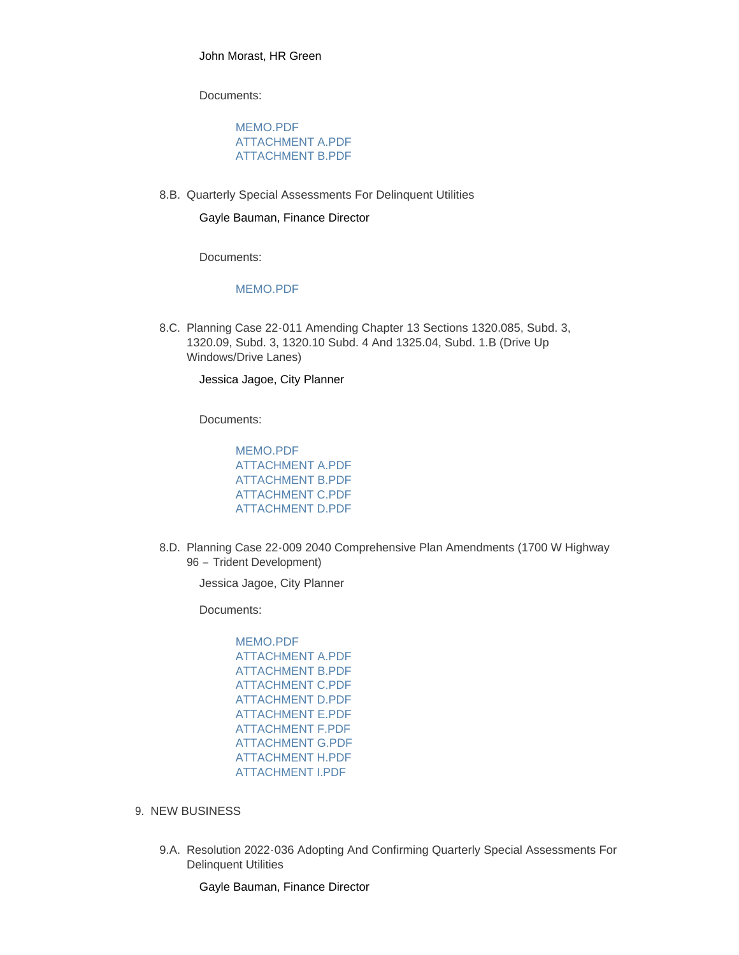John Morast, HR Green

Documents:

### [MEMO.PDF](https://www.cityofardenhills.org/AgendaCenter/ViewFile/Item/9048?fileID=14044) [ATTACHMENT A.PDF](https://www.cityofardenhills.org/AgendaCenter/ViewFile/Item/9048?fileID=14057) [ATTACHMENT B.PDF](https://www.cityofardenhills.org/AgendaCenter/ViewFile/Item/9048?fileID=14043)

8.B. Quarterly Special Assessments For Delinquent Utilities

#### Gayle Bauman, Finance Director

Documents:

### [MEMO.PDF](https://www.cityofardenhills.org/AgendaCenter/ViewFile/Item/9038?fileID=13996)

8.C. Planning Case 22-011 Amending Chapter 13 Sections 1320.085, Subd. 3, 1320.09, Subd. 3, 1320.10 Subd. 4 And 1325.04, Subd. 1.B (Drive Up Windows/Drive Lanes)

Jessica Jagoe, City Planner

Documents:

[MEMO.PDF](https://www.cityofardenhills.org/AgendaCenter/ViewFile/Item/9044?fileID=14013) [ATTACHMENT A.PDF](https://www.cityofardenhills.org/AgendaCenter/ViewFile/Item/9044?fileID=14009) [ATTACHMENT B.PDF](https://www.cityofardenhills.org/AgendaCenter/ViewFile/Item/9044?fileID=14010) [ATTACHMENT C.PDF](https://www.cityofardenhills.org/AgendaCenter/ViewFile/Item/9044?fileID=14011) [ATTACHMENT D.PDF](https://www.cityofardenhills.org/AgendaCenter/ViewFile/Item/9044?fileID=14061)

8.D. Planning Case 22-009 2040 Comprehensive Plan Amendments (1700 W Highway 96 – Trident Development)

Jessica Jagoe, City Planner

Documents:

[MEMO.PDF](https://www.cityofardenhills.org/AgendaCenter/ViewFile/Item/9049?fileID=14054) [ATTACHMENT A.PDF](https://www.cityofardenhills.org/AgendaCenter/ViewFile/Item/9049?fileID=14045) [ATTACHMENT B.PDF](https://www.cityofardenhills.org/AgendaCenter/ViewFile/Item/9049?fileID=14046) [ATTACHMENT C.PDF](https://www.cityofardenhills.org/AgendaCenter/ViewFile/Item/9049?fileID=14047) [ATTACHMENT D.PDF](https://www.cityofardenhills.org/AgendaCenter/ViewFile/Item/9049?fileID=14048) [ATTACHMENT E.PDF](https://www.cityofardenhills.org/AgendaCenter/ViewFile/Item/9049?fileID=14049) [ATTACHMENT F.PDF](https://www.cityofardenhills.org/AgendaCenter/ViewFile/Item/9049?fileID=14050) [ATTACHMENT G.PDF](https://www.cityofardenhills.org/AgendaCenter/ViewFile/Item/9049?fileID=14051) [ATTACHMENT H.PDF](https://www.cityofardenhills.org/AgendaCenter/ViewFile/Item/9049?fileID=14052) [ATTACHMENT I.PDF](https://www.cityofardenhills.org/AgendaCenter/ViewFile/Item/9049?fileID=14060)

- 9. NEW BUSINESS
	- 9.A. Resolution 2022-036 Adopting And Confirming Quarterly Special Assessments For Delinquent Utilities

Gayle Bauman, Finance Director